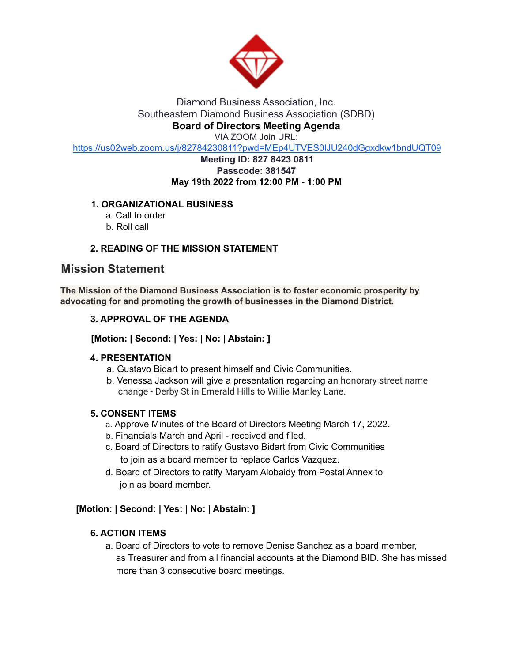

# Diamond Business Association, Inc. Southeastern Diamond Business Association (SDBD) **Board of Directors Meeting Agenda**

VIA ZOOM Join URL:

https://us02web.zoom.us/j/82784230811?pwd=MEp4UTVES0lJU240dGgxdkw1bndUQT09

#### **Meeting ID: 827 8423 0811 Passcode: 381547 May 19th 2022 from 12:00 PM - 1:00 PM**

# **1. ORGANIZATIONAL BUSINESS**

- a. Call to order
- b. Roll call

## **2. READING OF THE MISSION STATEMENT**

# **Mission Statement**

**The Mission of the Diamond Business Association is to foster economic prosperity by advocating for and promoting the growth of businesses in the Diamond District.**

## **3. APPROVAL OF THE AGENDA**

**[Motion: | Second: | Yes: | No: | Abstain: ]**

#### **4. PRESENTATION**

- a. Gustavo Bidart to present himself and Civic Communities.
- b. Venessa Jackson will give a presentation regarding an honorary street name change - Derby St in Emerald Hills to Willie Manley Lane.

#### **5. CONSENT ITEMS**

- a. Approve Minutes of the Board of Directors Meeting March 17, 2022.
- b. Financials March and April received and filed.
- c. Board of Directors to ratify Gustavo Bidart from Civic Communities to join as a board member to replace Carlos Vazquez.
- d. Board of Directors to ratify Maryam Alobaidy from Postal Annex to join as board member.

#### **[Motion: | Second: | Yes: | No: | Abstain: ]**

#### **6. ACTION ITEMS**

a. Board of Directors to vote to remove Denise Sanchez as a board member, as Treasurer and from all financial accounts at the Diamond BID. She has missed more than 3 consecutive board meetings.